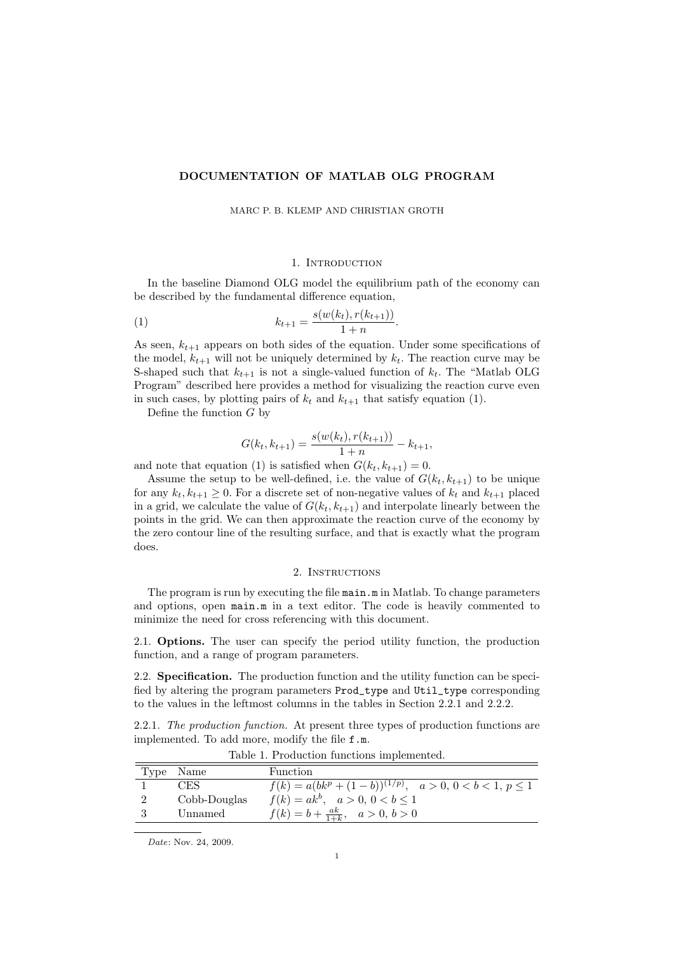## DOCUMENTATION OF MATLAB OLG PROGRAM

MARC P. B. KLEMP AND CHRISTIAN GROTH

## 1. INTRODUCTION

In the baseline Diamond OLG model the equilibrium path of the economy can be described by the fundamental difference equation,

(1) 
$$
k_{t+1} = \frac{s(w(k_t), r(k_{t+1}))}{1+n}.
$$

As seen,  $k_{t+1}$  appears on both sides of the equation. Under some specifications of the model,  $k_{t+1}$  will not be uniquely determined by  $k_t$ . The reaction curve may be S-shaped such that  $k_{t+1}$  is not a single-valued function of  $k_t$ . The "Matlab OLG Program" described here provides a method for visualizing the reaction curve even in such cases, by plotting pairs of  $k_t$  and  $k_{t+1}$  that satisfy equation (1).

Define the function  $G$  by

$$
G(kt, kt+1) = \frac{s(w(kt), r(kt+1))}{1+n} - kt+1,
$$

and note that equation (1) is satisfied when  $G(k_t, k_{t+1}) = 0$ .

Assume the setup to be well-defined, i.e. the value of  $G(k_t, k_{t+1})$  to be unique for any  $k_t, k_{t+1} \geq 0$ . For a discrete set of non-negative values of  $k_t$  and  $k_{t+1}$  placed in a grid, we calculate the value of  $G(k_t, k_{t+1})$  and interpolate linearly between the points in the grid. We can then approximate the reaction curve of the economy by the zero contour line of the resulting surface, and that is exactly what the program does.

## 2. INSTRUCTIONS

The program is run by executing the file main.m in Matlab. To change parameters and options, open main.m in a text editor. The code is heavily commented to minimize the need for cross referencing with this document.

2.1. Options. The user can specify the period utility function, the production function, and a range of program parameters.

2.2. Specification. The production function and the utility function can be specified by altering the program parameters Prod\_type and Util\_type corresponding to the values in the leftmost columns in the tables in Section 2.2.1 and 2.2.2.

2.2.1. The production function. At present three types of production functions are implemented. To add more, modify the file f.m.

| Table 1. Froduction functions implemented. |              |                                                                   |  |  |
|--------------------------------------------|--------------|-------------------------------------------------------------------|--|--|
|                                            | Type Name    | Function                                                          |  |  |
|                                            | CES          | $f(k) = a(bk^p + (1-b))^{(1/p)}, \quad a > 0, 0 < b < 1, p \le 1$ |  |  |
|                                            | Cobb-Douglas | $f(k) = ak^b, \quad a > 0, \ 0 < b \le 1$                         |  |  |
|                                            | Unnamed      | $f(k) = b + \frac{ak}{1+k}, \quad a > 0, b > 0$                   |  |  |
|                                            |              |                                                                   |  |  |

Table 1. Production function

Date: Nov. 24, 2009.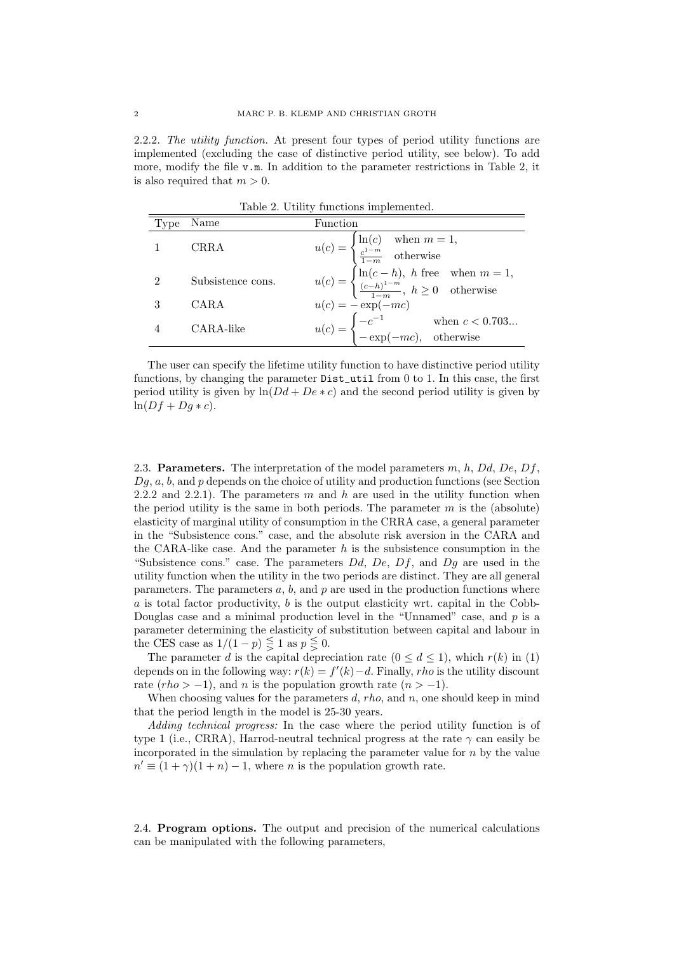2.2.2. The utility function. At present four types of period utility functions are implemented (excluding the case of distinctive period utility, see below). To add more, modify the file v.m. In addition to the parameter restrictions in Table 2, it is also required that  $m > 0$ .

Table 2. Utility functions implemented.

|                |                   | $\text{r}$ and $\text{r}$ and $\text{r}$ and $\text{r}$ and $\text{r}$ impromotive.                                                                                                                                                                               |
|----------------|-------------------|-------------------------------------------------------------------------------------------------------------------------------------------------------------------------------------------------------------------------------------------------------------------|
| Type           | Name              | Function                                                                                                                                                                                                                                                          |
|                | CRRA              | $u(c) = \begin{cases} \ln(c) & \text{when } m = 1, \\ \frac{c^{1-m}}{1-m} & \text{otherwise} \end{cases}$<br>$u(c) = \begin{cases} \ln(c-h), & h \text{ free} \quad \text{when } m = 1, \\ \frac{(c-h)^{1-m}}{1-m}, & h \ge 0 \quad \text{otherwise} \end{cases}$ |
| $\mathfrak{D}$ | Subsistence cons. |                                                                                                                                                                                                                                                                   |
|                | CARA              | $u(c) = -\exp(-mc)$                                                                                                                                                                                                                                               |
|                | CARA-like         | $u(c) = \begin{cases} -c^{-1} & \text{when } c < 0.703 \\ -\exp(-mc), & \text{otherwise} \end{cases}$                                                                                                                                                             |

The user can specify the lifetime utility function to have distinctive period utility functions, by changing the parameter Dist\_util from 0 to 1. In this case, the first period utility is given by  $\ln(Dd + De * c)$  and the second period utility is given by  $ln(Df + Dq * c)$ .

2.3. **Parameters.** The interpretation of the model parameters  $m$ ,  $h$ ,  $Dd$ ,  $De$ ,  $Df$ ,  $Dg, a, b$ , and  $p$  depends on the choice of utility and production functions (see Section 2.2.2 and 2.2.1). The parameters m and h are used in the utility function when the period utility is the same in both periods. The parameter  $m$  is the (absolute) elasticity of marginal utility of consumption in the CRRA case, a general parameter in the "Subsistence cons." case, and the absolute risk aversion in the CARA and the CARA-like case. And the parameter  $h$  is the subsistence consumption in the "Subsistence cons." case. The parameters  $Dd$ ,  $De$ ,  $Df$ , and  $Dg$  are used in the utility function when the utility in the two periods are distinct. They are all general parameters. The parameters  $a, b$ , and  $p$  are used in the production functions where  $a$  is total factor productivity,  $b$  is the output elasticity wrt. capital in the Cobb-Douglas case and a minimal production level in the "Unnamed" case, and  $p$  is a parameter determining the elasticity of substitution between capital and labour in the CES case as  $1/(1-p) \leq 1$  as  $p \leq 0$ .

The parameter d is the capital depreciation rate  $(0 \le d \le 1)$ , which  $r(k)$  in (1) depends on in the following way:  $r(k) = f'(k) - d$ . Finally, *rho* is the utility discount rate  $(rho > -1)$ , and n is the population growth rate  $(n > -1)$ .

When choosing values for the parameters  $d$ , rho, and n, one should keep in mind that the period length in the model is 25-30 years.

Adding technical progress: In the case where the period utility function is of type 1 (i.e., CRRA), Harrod-neutral technical progress at the rate  $\gamma$  can easily be incorporated in the simulation by replacing the parameter value for  $n$  by the value  $n' \equiv (1 + \gamma)(1 + n) - 1$ , where *n* is the population growth rate.

2.4. Program options. The output and precision of the numerical calculations can be manipulated with the following parameters,